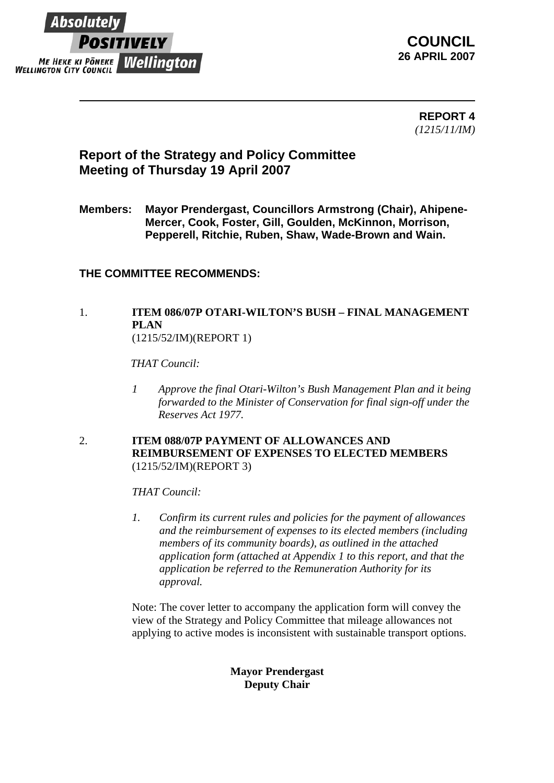

**COUNCIL 26 APRIL 2007**

> **REPORT 4** *(1215/11/IM)*

## **Report of the Strategy and Policy Committee Meeting of Thursday 19 April 2007**

**Members: Mayor Prendergast, Councillors Armstrong (Chair), Ahipene-Mercer, Cook, Foster, Gill, Goulden, McKinnon, Morrison, Pepperell, Ritchie, Ruben, Shaw, Wade-Brown and Wain.** 

## **THE COMMITTEE RECOMMENDS:**

## 1. **ITEM 086/07P OTARI-WILTON'S BUSH – FINAL MANAGEMENT PLAN**

(1215/52/IM)(REPORT 1)

*THAT Council:*

*1 Approve the final Otari-Wilton's Bush Management Plan and it being forwarded to the Minister of Conservation for final sign-off under the Reserves Act 1977.* 

#### 2. **ITEM 088/07P PAYMENT OF ALLOWANCES AND REIMBURSEMENT OF EXPENSES TO ELECTED MEMBERS**  (1215/52/IM)(REPORT 3)

*THAT Council:* 

*1. Confirm its current rules and policies for the payment of allowances and the reimbursement of expenses to its elected members (including members of its community boards), as outlined in the attached application form (attached at Appendix 1 to this report, and that the application be referred to the Remuneration Authority for its approval.* 

Note: The cover letter to accompany the application form will convey the view of the Strategy and Policy Committee that mileage allowances not applying to active modes is inconsistent with sustainable transport options.

### **Mayor Prendergast Deputy Chair**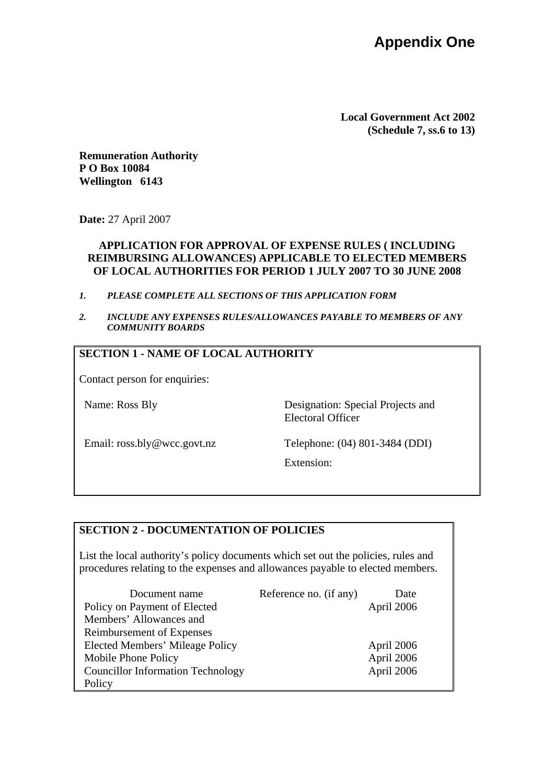**Local Government Act 2002 (Schedule 7, ss.6 to 13)** 

**Remuneration Authority P O Box 10084 Wellington 6143** 

**Date:** 27 April 2007

#### **APPLICATION FOR APPROVAL OF EXPENSE RULES ( INCLUDING REIMBURSING ALLOWANCES) APPLICABLE TO ELECTED MEMBERS OF LOCAL AUTHORITIES FOR PERIOD 1 JULY 2007 TO 30 JUNE 2008**

- *1. PLEASE COMPLETE ALL SECTIONS OF THIS APPLICATION FORM*
- *2. INCLUDE ANY EXPENSES RULES/ALLOWANCES PAYABLE TO MEMBERS OF ANY COMMUNITY BOARDS*

### **SECTION 1 - NAME OF LOCAL AUTHORITY**

Contact person for enquiries:

Name: Ross Bly Designation: Special Projects and Electoral Officer

Email: ross.bly@wcc.govt.nz Telephone: (04) 801-3484 (DDI)

Extension:

#### **SECTION 2 - DOCUMENTATION OF POLICIES**

List the local authority's policy documents which set out the policies, rules and procedures relating to the expenses and allowances payable to elected members.

| Document name                            | Reference no. (if any) | Date       |
|------------------------------------------|------------------------|------------|
| Policy on Payment of Elected             |                        | April 2006 |
| Members' Allowances and                  |                        |            |
| Reimbursement of Expenses                |                        |            |
| Elected Members' Mileage Policy          |                        | April 2006 |
| Mobile Phone Policy                      |                        | April 2006 |
| <b>Councillor Information Technology</b> |                        | April 2006 |
| Policy                                   |                        |            |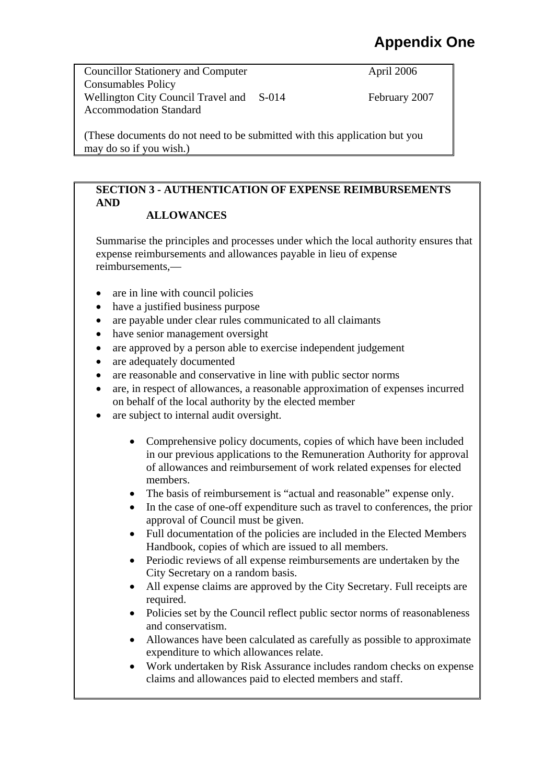# **Appendix One**

Councillor Stationery and Computer Consumables Policy Wellington City Council Travel and S-014 Accommodation Standard

April 2006

February 2007

(These documents do not need to be submitted with this application but you may do so if you wish.)

## **SECTION 3 - AUTHENTICATION OF EXPENSE REIMBURSEMENTS AND**

## **ALLOWANCES**

Summarise the principles and processes under which the local authority ensures that expense reimbursements and allowances payable in lieu of expense reimbursements,—

- are in line with council policies
- have a justified business purpose
- are payable under clear rules communicated to all claimants
- have senior management oversight
- are approved by a person able to exercise independent judgement
- are adequately documented
- are reasonable and conservative in line with public sector norms
- are, in respect of allowances, a reasonable approximation of expenses incurred on behalf of the local authority by the elected member
- are subject to internal audit oversight.
	- Comprehensive policy documents, copies of which have been included in our previous applications to the Remuneration Authority for approval of allowances and reimbursement of work related expenses for elected members.
	- The basis of reimbursement is "actual and reasonable" expense only.
	- In the case of one-off expenditure such as travel to conferences, the prior approval of Council must be given.
	- Full documentation of the policies are included in the Elected Members Handbook, copies of which are issued to all members.
	- Periodic reviews of all expense reimbursements are undertaken by the City Secretary on a random basis.
	- All expense claims are approved by the City Secretary. Full receipts are required.
	- Policies set by the Council reflect public sector norms of reasonableness and conservatism.
	- Allowances have been calculated as carefully as possible to approximate expenditure to which allowances relate.
	- Work undertaken by Risk Assurance includes random checks on expense claims and allowances paid to elected members and staff.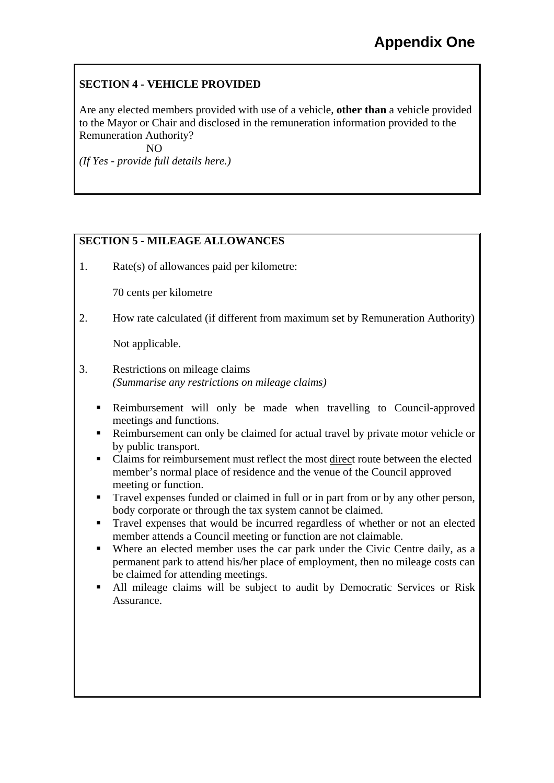## **SECTION 4 - VEHICLE PROVIDED**

Are any elected members provided with use of a vehicle, **other than** a vehicle provided to the Mayor or Chair and disclosed in the remuneration information provided to the Remuneration Authority?

NO

*(If Yes - provide full details here.)* 

## **SECTION 5 - MILEAGE ALLOWANCES**

1. Rate(s) of allowances paid per kilometre:

70 cents per kilometre

2. How rate calculated (if different from maximum set by Remuneration Authority)

Not applicable.

- 3. Restrictions on mileage claims *(Summarise any restrictions on mileage claims)* 
	- Reimbursement will only be made when travelling to Council-approved meetings and functions.
	- Reimbursement can only be claimed for actual travel by private motor vehicle or by public transport.
	- Claims for reimbursement must reflect the most direct route between the elected member's normal place of residence and the venue of the Council approved meeting or function.
	- Travel expenses funded or claimed in full or in part from or by any other person, body corporate or through the tax system cannot be claimed.
	- Travel expenses that would be incurred regardless of whether or not an elected member attends a Council meeting or function are not claimable.
	- Where an elected member uses the car park under the Civic Centre daily, as a permanent park to attend his/her place of employment, then no mileage costs can be claimed for attending meetings.
	- All mileage claims will be subject to audit by Democratic Services or Risk Assurance.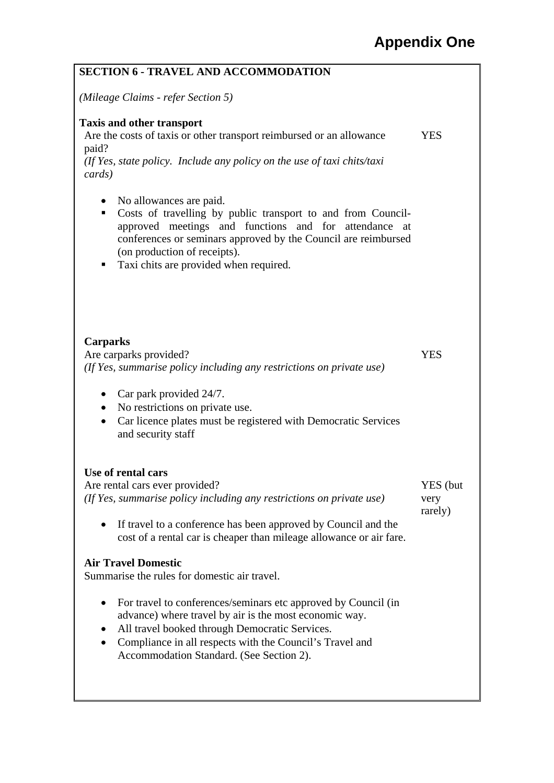| <b>SECTION 6 - TRAVEL AND ACCOMMODATION</b>                                                                                                                                                                                                                                                                            |                             |
|------------------------------------------------------------------------------------------------------------------------------------------------------------------------------------------------------------------------------------------------------------------------------------------------------------------------|-----------------------------|
| (Mileage Claims - refer Section 5)                                                                                                                                                                                                                                                                                     |                             |
| <b>Taxis and other transport</b><br>Are the costs of taxis or other transport reimbursed or an allowance<br>paid?<br>(If Yes, state policy. Include any policy on the use of taxi chits/taxi<br>cards)                                                                                                                 | <b>YES</b>                  |
| No allowances are paid.<br>$\bullet$<br>Costs of travelling by public transport to and from Council-<br>٠<br>approved meetings and functions and for attendance<br>at<br>conferences or seminars approved by the Council are reimbursed<br>(on production of receipts).<br>Taxi chits are provided when required.<br>п |                             |
| <b>Carparks</b><br>Are carparks provided?<br>(If Yes, summarise policy including any restrictions on private use)<br>Car park provided 24/7.                                                                                                                                                                           | <b>YES</b>                  |
| No restrictions on private use.<br>$\bullet$<br>Car licence plates must be registered with Democratic Services<br>٠<br>and security staff                                                                                                                                                                              |                             |
| Use of rental cars                                                                                                                                                                                                                                                                                                     |                             |
| Are rental cars ever provided?<br>(If Yes, summarise policy including any restrictions on private use)<br>If travel to a conference has been approved by Council and the<br>$\bullet$                                                                                                                                  | YES (but<br>very<br>rarely) |
| cost of a rental car is cheaper than mileage allowance or air fare.                                                                                                                                                                                                                                                    |                             |
| <b>Air Travel Domestic</b><br>Summarise the rules for domestic air travel.                                                                                                                                                                                                                                             |                             |
| For travel to conferences/seminars etc approved by Council (in<br>advance) where travel by air is the most economic way.<br>All travel booked through Democratic Services.<br>Compliance in all respects with the Council's Travel and<br>Accommodation Standard. (See Section 2).                                     |                             |
|                                                                                                                                                                                                                                                                                                                        |                             |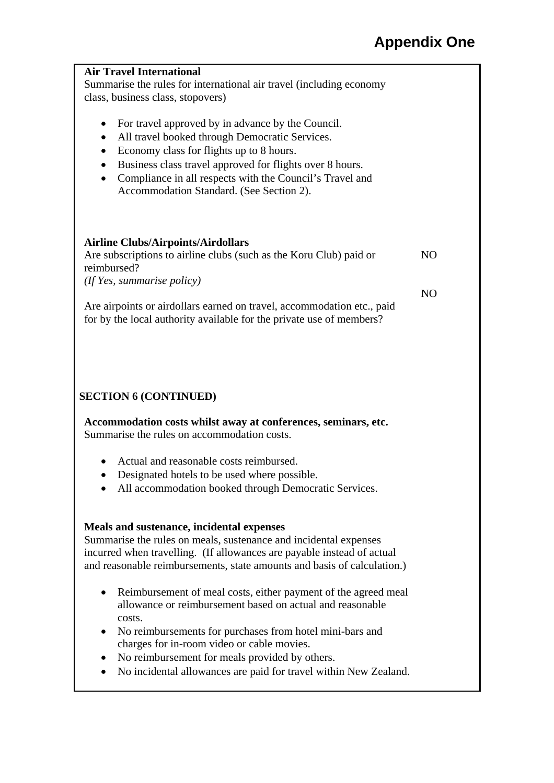| <b>Air Travel International</b><br>Summarise the rules for international air travel (including economy<br>class, business class, stopovers)                                                                                                                                                                                                                |                |
|------------------------------------------------------------------------------------------------------------------------------------------------------------------------------------------------------------------------------------------------------------------------------------------------------------------------------------------------------------|----------------|
| For travel approved by in advance by the Council.<br>All travel booked through Democratic Services.<br>$\bullet$<br>Economy class for flights up to 8 hours.<br>Business class travel approved for flights over 8 hours.<br>$\bullet$<br>Compliance in all respects with the Council's Travel and<br>$\bullet$<br>Accommodation Standard. (See Section 2). |                |
| <b>Airline Clubs/Airpoints/Airdollars</b><br>Are subscriptions to airline clubs (such as the Koru Club) paid or<br>reimbursed?<br>(If Yes, summarise policy)                                                                                                                                                                                               | N <sub>O</sub> |
| Are airpoints or airdollars earned on travel, accommodation etc., paid<br>for by the local authority available for the private use of members?                                                                                                                                                                                                             | N <sub>O</sub> |
| <b>SECTION 6 (CONTINUED)</b>                                                                                                                                                                                                                                                                                                                               |                |
| Accommodation costs whilst away at conferences, seminars, etc.<br>Summarise the rules on accommodation costs.                                                                                                                                                                                                                                              |                |
| Actual and reasonable costs reimbursed.<br>Designated hotels to be used where possible.<br>All accommodation booked through Democratic Services.                                                                                                                                                                                                           |                |
| Meals and sustenance, incidental expenses<br>Summarise the rules on meals, sustenance and incidental expenses<br>incurred when travelling. (If allowances are payable instead of actual<br>and reasonable reimbursements, state amounts and basis of calculation.)                                                                                         |                |
| Reimbursement of meal costs, either payment of the agreed meal<br>$\bullet$<br>allowance or reimbursement based on actual and reasonable<br>costs.<br>No reimbursements for purchases from hotel mini-bars and                                                                                                                                             |                |

- charges for in-room video or cable movies.
- No reimbursement for meals provided by others.
- No incidental allowances are paid for travel within New Zealand.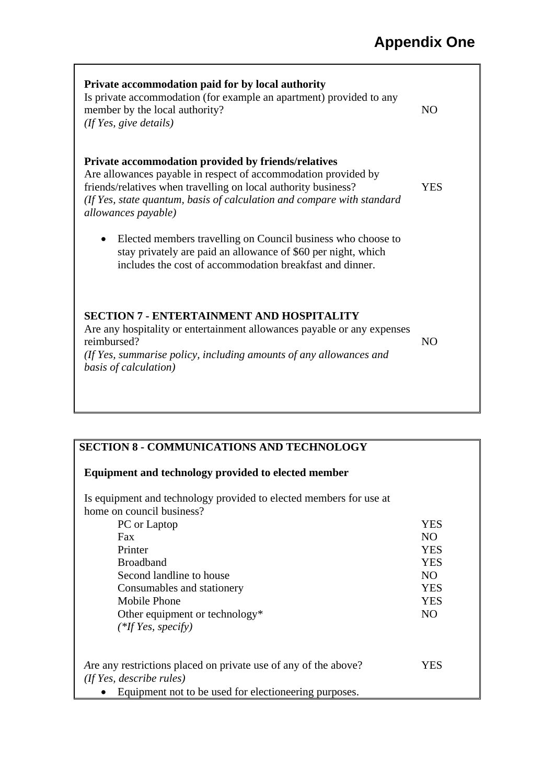| Private accommodation paid for by local authority<br>Is private accommodation (for example an apartment) provided to any<br>member by the local authority?<br>(If Yes, give details)                                                                                                     | N <sub>O</sub> |  |
|------------------------------------------------------------------------------------------------------------------------------------------------------------------------------------------------------------------------------------------------------------------------------------------|----------------|--|
| Private accommodation provided by friends/relatives<br>Are allowances payable in respect of accommodation provided by<br>friends/relatives when travelling on local authority business?<br>(If Yes, state quantum, basis of calculation and compare with standard<br>allowances payable) | <b>YES</b>     |  |
| Elected members travelling on Council business who choose to<br>$\bullet$<br>stay privately are paid an allowance of \$60 per night, which<br>includes the cost of accommodation breakfast and dinner.                                                                                   |                |  |
| <b>SECTION 7 - ENTERTAINMENT AND HOSPITALITY</b><br>Are any hospitality or entertainment allowances payable or any expenses<br>reimbursed?<br>(If Yes, summarise policy, including amounts of any allowances and<br>basis of calculation)                                                |                |  |

## **SECTION 8 - COMMUNICATIONS AND TECHNOLOGY**

|  | <b>Equipment and technology provided to elected member</b> |  |  |
|--|------------------------------------------------------------|--|--|
|  |                                                            |  |  |

Is equipment and technology provided to elected members for use at home on council business?

| PC or Laptop                                                    | YES            |
|-----------------------------------------------------------------|----------------|
| Fax                                                             | N <sub>O</sub> |
| Printer                                                         | <b>YES</b>     |
| <b>Broadband</b>                                                | <b>YES</b>     |
| Second landline to house                                        | N <sub>O</sub> |
| Consumables and stationery                                      | <b>YES</b>     |
| Mobile Phone                                                    | <b>YES</b>     |
| Other equipment or technology*                                  | N <sub>O</sub> |
| $(*If Yes, specify)$                                            |                |
| Are any restrictions placed on private use of any of the above? | YES            |
| (If Yes, describe rules)                                        |                |
| Equipment not to be used for electioneering purposes.           |                |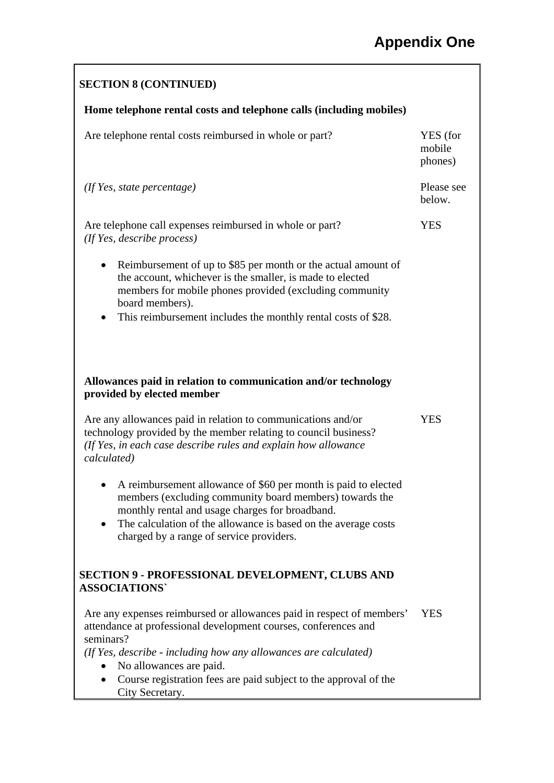# **SECTION 8 (CONTINUED) Home telephone rental costs and telephone calls (including mobiles)**  Are telephone rental costs reimbursed in whole or part? YES (for mobile phones) *(If Yes, state percentage)* Please see below. Are telephone call expenses reimbursed in whole or part? YES *(If Yes, describe process)*  • Reimbursement of up to \$85 per month or the actual amount of the account, whichever is the smaller, is made to elected members for mobile phones provided (excluding community board members). • This reimbursement includes the monthly rental costs of \$28. **Allowances paid in relation to communication and/or technology provided by elected member**  Are any allowances paid in relation to communications and/or technology provided by the member relating to council business? **YES** *(If Yes, in each case describe rules and explain how allowance calculated)*  • A reimbursement allowance of \$60 per month is paid to elected members (excluding community board members) towards the monthly rental and usage charges for broadband. • The calculation of the allowance is based on the average costs charged by a range of service providers. **SECTION 9 - PROFESSIONAL DEVELOPMENT, CLUBS AND ASSOCIATIONS`**  Are any expenses reimbursed or allowances paid in respect of members' attendance at professional development courses, conferences and seminars? YES *(If Yes, describe - including how any allowances are calculated)*  • No allowances are paid. • Course registration fees are paid subject to the approval of the City Secretary.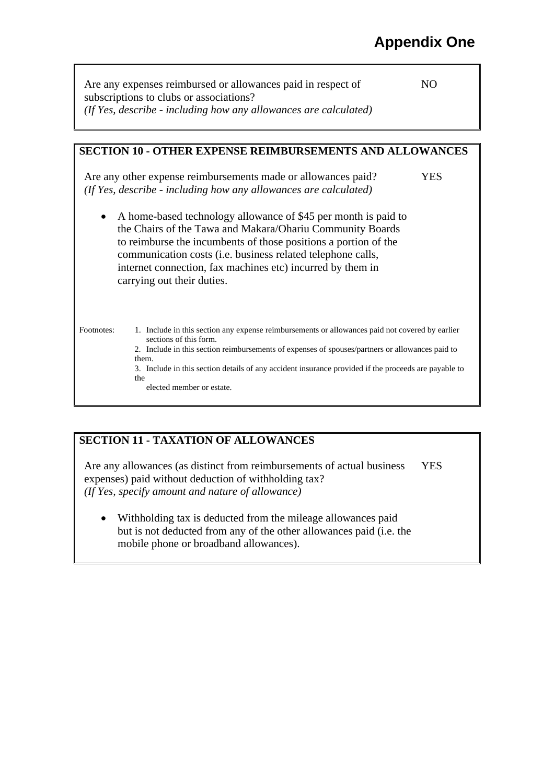| Are any expenses reimbursed or allowances paid in respect of     | NO. |
|------------------------------------------------------------------|-----|
| subscriptions to clubs or associations?                          |     |
| (If Yes, describe - including how any allowances are calculated) |     |

### **SECTION 10 - OTHER EXPENSE REIMBURSEMENTS AND ALLOWANCES**

Are any other expense reimbursements made or allowances paid? YES *(If Yes, describe - including how any allowances are calculated)* 

• A home-based technology allowance of \$45 per month is paid to the Chairs of the Tawa and Makara/Ohariu Community Boards to reimburse the incumbents of those positions a portion of the communication costs (i.e. business related telephone calls, internet connection, fax machines etc) incurred by them in carrying out their duties.

Footnotes: 1. Include in this section any expense reimbursements or allowances paid not covered by earlier sections of this form.

2. Include in this section reimbursements of expenses of spouses/partners or allowances paid to them.

3. Include in this section details of any accident insurance provided if the proceeds are payable to the

elected member or estate.

## **SECTION 11 - TAXATION OF ALLOWANCES**

Are any allowances (as distinct from reimbursements of actual business expenses) paid without deduction of withholding tax? YES *(If Yes, specify amount and nature of allowance)* 

• Withholding tax is deducted from the mileage allowances paid but is not deducted from any of the other allowances paid (i.e. the mobile phone or broadband allowances).